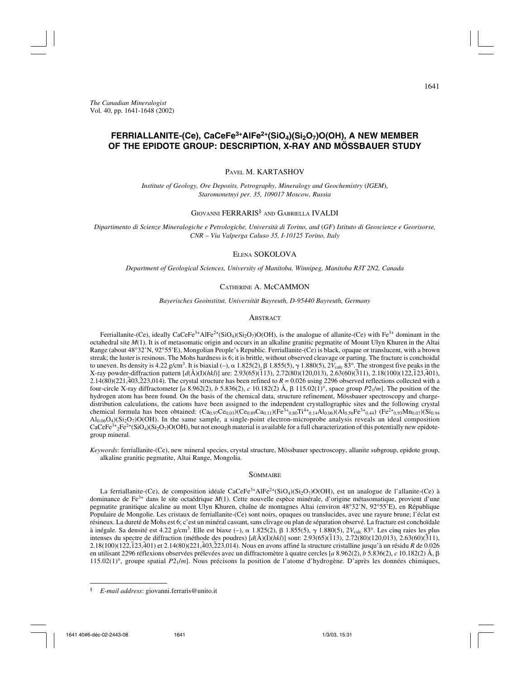# **FERRIALLANITE-(Ce), CaCeFe3+AlFe2+(SiO4)(Si2O7)O(OH), A NEW MEMBER OF THE EPIDOTE GROUP: DESCRIPTION, X-RAY AND MÖSSBAUER STUDY**

PAVEL M. KARTASHOV

*Institute of Geology, Ore Deposits, Petrography, Mineralogy and Geochemistry* (*IGEM*), *Staromonetnyi per. 35, 109017 Moscow, Russia*

### GIOVANNI FERRARIS<sup>§</sup> AND GABRIELLA **IVALDI**

*Dipartimento di Scienze Mineralogiche e Petrologiche, Università di Torino, and* (*GF*) *Istituto di Geoscienze e Georisorse, CNR – Via Valperga Caluso 35, I-10125 Torino, Italy*

### ELENA SOKOLOVA

*Department of Geological Sciences, University of Manitoba, Winnipeg, Manitoba R3T 2N2, Canada*

## CATHERINE A. McCAMMON

*Bayerisches Geoinstitut, Universität Bayreuth, D-95440 Bayreuth, Germany*

### **ABSTRACT**

Ferriallanite-(Ce), ideally CaCeFe<sup>3+</sup>AlFe<sup>2+</sup>(SiO<sub>4</sub>)(Si<sub>2</sub>O<sub>7</sub>)O(OH), is the analogue of allanite-(Ce) with Fe<sup>3+</sup> dominant in the octahedral site *M*(1). It is of metasomatic origin and occurs in an alkaline granitic pegmatite of Mount Ulyn Khuren in the Altai Range (about 48°32'N, 92°55'E), Mongolian People's Republic. Ferriallanite-(Ce) is black, opaque or translucent, with a brown streak; the luster is resinous. The Mohs hardness is 6; it is brittle, without observed cleavage or parting. The fracture is conchoidal to uneven. Its density is  $4.22$  g/cm<sup>3</sup>. It is biaxial (-),  $\alpha$  1.825(2),  $\beta$  1.855(5),  $\gamma$  1.880(5),  $2V_{\text{calc}}$  83°. The strongest five peaks in the X-ray powder-diffraction pattern [*d*(Å)(I)(*hkl*)] are: 2.93(65)( $\overline{1}$ 13), 2.72(80)(120,013), 2.63(60)( $\overline{3}$ 11), 2.18(100)(122, $\overline{1}$ 23, $\overline{4}$ 01),  $2.14(80)(221,403,223,014)$ . The crystal structure has been refined to  $R = 0.026$  using 2296 observed reflections collected with a four-circle X-ray diffractometer [*a* 8.962(2), *b* 5.836(2), *c* 10.182(2) Å,  $\beta$  115.02(1)<sup>°</sup>, space group  $P2_1/m$ ]. The position of the hydrogen atom has been found. On the basis of the chemical data, structure refinement, Mössbauer spectroscopy and chargedistribution calculations, the cations have been assigned to the independent crystallographic sites and the following crystal chemical formula has been obtained:  $(Ca_{0.97}Ce_{0.03})(Ce_{0.89}Ca_{0.11})(Fe^{3+}_{0.90}Ti^{4+}_{0.14}A1_{0.06})(Al_{0.56}Fe^{3+}_{0.44})$  (Fe<sup>2+</sup><sub>0.93</sub>Mn<sub>0.07</sub>)(Si<sub>0.94</sub>)  $A1_{0.06}O_4$ )(Si<sub>2</sub>O<sub>7</sub>)O(OH). In the same sample, a single-point electron-microprobe analysis reveals an ideal composition  $CaCeFe<sup>3+</sup>_{2}Fe<sup>2+</sup>(SiO<sub>4</sub>)(Si<sub>2</sub>O<sub>7</sub>)O(OH)$ , but not enough material is available for a full characterization of this potentially new epidotegroup mineral.

*Keywords*: ferriallanite-(Ce), new mineral species, crystal structure, Mössbauer spectroscopy, allanite subgroup, epidote group, alkaline granitic pegmatite, Altai Range, Mongolia.

### **SOMMAIRE**

La ferriallanite-(Ce), de composition idéale CaCeFe<sup>3+</sup>AlFe<sup>2+</sup>(SiO<sub>4</sub>)(Si<sub>2</sub>O<sub>7</sub>)O(OH), est un analogue de l'allanite-(Ce) à dominance de Fe3+ dans le site octaédrique *M*(1). Cette nouvelle espèce minérale, d'origine métasomatique, provient d'une pegmatite granitique alcaline au mont Ulyn Khuren, chaîne de montagnes Altai (environ 48°32'N, 92°55'E), en République Populaire de Mongolie. Les cristaux de ferriallanite-(Ce) sont noirs, opaques ou translucides, avec une rayure brune; l'éclat est résineux. La dureté de Mohs est 6; c'est un minéral cassant, sans clivage ou plan de séparation observé. La fracture est conchoïdale à inégale. Sa densité est 4.22 g/cm<sup>3</sup>. Elle est biaxe  $(-)$ ,  $\alpha$  1.825(2),  $\beta$  1.855(5),  $\gamma$  1.880(5), 2 $V_{\text{calc}}$  83°. Les cinq raies les plus intenses du spectre de diffraction (méthode des poudres) [*d*(Å)(I)(*hkl*)] sont: 2.93(65)(¯ 113), 2.72(80)(120,013), 2.63(60)(¯ 311), 2.18(100)(122,¯ 123,¯ 401) et 2.14(80)(221,¯ 403,¯ 223,014). Nous en avons affiné la structure cristalline jusqu'à un résidu *R* de 0.026 en utilisant 2296 réflexions observées prélevées avec un diffractomètre à quatre cercles [*a* 8.962(2), *b* 5.836(2), *c* 10.182(2) Å, - 115.02(1)°, groupe spatial *P*21/*m*]. Nous précisons la position de l'atome d'hydrogène. D'après les données chimiques,

<sup>§</sup> *E-mail address*: giovanni.ferraris@unito.it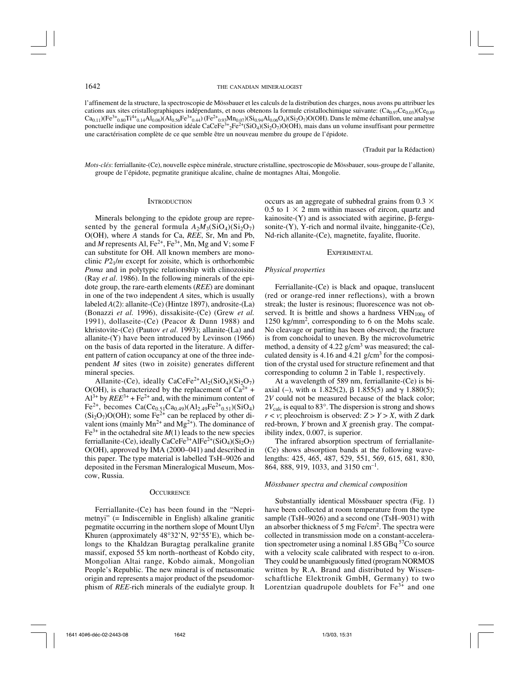l'affinement de la structure, la spectroscopie de Mössbauer et les calculs de la distribution des charges, nous avons pu attribuer les cations aux sites cristallographiques indépendants, et nous obtenons la formule cristallochimique suivante:  $(Ca_{0.97}Ce_{0.03})(Ce_{0.89}$  $Ca_{0,11}$ )(Fe<sup>3+</sup><sub>0.80</sub>Ti<sup>4+</sup><sub>0.14</sub>Al<sub>0.06</sub>)(Al<sub>0.56</sub>Fe<sup>3+</sup><sub>0.44</sub>) (Fe<sup>2+</sup><sub>0.93</sub>Mn<sub>0.07</sub>)(Si<sub>0.94</sub>Al<sub>0.06</sub>O<sub>4</sub>)(Si<sub>2</sub>O<sub>7</sub>)O(OH). Dans le même échantillon, une analyse ponctuelle indique une composition idéale CaCeFe<sup>3+</sup>2Fe<sup>2+</sup>(SiO<sub>4</sub>)(Si<sub>2</sub>O<sub>7</sub>)O(OH), mais dans un volume insuffisant pour permettre une caractérisation complète de ce que semble être un nouveau membre du groupe de l'épidote.

(Traduit par la Rédaction)

*Mots-clés*: ferriallanite-(Ce), nouvelle espèce minérale, structure cristalline, spectroscopie de Mössbauer, sous-groupe de l'allanite, groupe de l'épidote, pegmatite granitique alcaline, chaîne de montagnes Altai, Mongolie.

### **INTRODUCTION**

Minerals belonging to the epidote group are represented by the general formula  $A_2M_3(SiO_4)(Si_2O_7)$ O(OH), where *A* stands for Ca, *REE*, Sr, Mn and Pb, and *M* represents Al,  $Fe^{2+}$ ,  $Fe^{3+}$ , Mn, Mg and V; some F can substitute for OH. All known members are monoclinic *P*21/*m* except for zoisite, which is orthorhombic *Pnma* and in polytypic relationship with clinozoisite (Ray *et al*. 1986). In the following minerals of the epidote group, the rare-earth elements (*REE*) are dominant in one of the two independent *A* sites, which is usually labeled *A*(2): allanite-(Ce) (Hintze 1897), androsite-(La) (Bonazzi *et al.* 1996), dissakisite-(Ce) (Grew *et al.* 1991), dollaseite-(Ce) (Peacor & Dunn 1988) and khristovite-(Ce) (Pautov *et al*. 1993); allanite-(La) and allanite-(Y) have been introduced by Levinson (1966) on the basis of data reported in the literature. A different pattern of cation occupancy at one of the three independent *M* sites (two in zoisite) generates different mineral species.

Allanite-(Ce), ideally CaCeFe<sup>2+</sup>Al<sub>2</sub>(SiO<sub>4</sub>)(Si<sub>2</sub>O<sub>7</sub>)  $O(OH)$ , is characterized by the replacement of  $Ca^{2+}$  +  $Al^{3+}$  by  $REE^{3+}$  + Fe<sup>2+</sup> and, with the minimum content of  $Fe^{2+}$ , becomes  $Ca(Ce_{0.51}Ca_{0.49})(Al_{2.49}Fe^{2+}_{0.51})(SiO_4)$  $(Si<sub>2</sub>O<sub>7</sub>)O(OH)$ ; some Fe<sup>2+</sup> can be replaced by other divalent ions (mainly  $Mn^{2+}$  and  $Mg^{2+}$ ). The dominance of  $Fe<sup>3+</sup>$  in the octahedral site  $M(1)$  leads to the new species ferriallanite-(Ce), ideally CaCeFe<sup>3+</sup>AlFe<sup>2+</sup>(SiO<sub>4</sub>)(Si<sub>2</sub>O<sub>7</sub>) O(OH), approved by IMA (2000–041) and described in this paper. The type material is labelled TsH–9026 and deposited in the Fersman Mineralogical Museum, Moscow, Russia.

#### **OCCURRENCE**

Ferriallanite-(Ce) has been found in the "Neprimetnyi" (= Indiscernible in English) alkaline granitic pegmatite occurring in the northern slope of Mount Ulyn Khuren (approximately 48°32'N, 92°55'E), which belongs to the Khaldzan Buragtag peralkaline granite massif, exposed 55 km north–northeast of Kobdo city, Mongolian Altai range, Kobdo aimak, Mongolian People's Republic. The new mineral is of metasomatic origin and represents a major product of the pseudomorphism of *REE*-rich minerals of the eudialyte group. It occurs as an aggregate of subhedral grains from 0.3  $\times$ 0.5 to  $1 \times 2$  mm within masses of zircon, quartz and  $kainosite-(Y)$  and is associated with aegirine,  $\beta$ -fergusonite-(Y), Y-rich and normal ilvaite, hingganite-(Ce), Nd-rich allanite-(Ce), magnetite, fayalite, fluorite.

### EXPERIMENTAL.

# *Physical properties*

Ferriallanite-(Ce) is black and opaque, translucent (red or orange-red inner reflections), with a brown streak; the luster is resinous; fluorescence was not observed. It is brittle and shows a hardness  $VHN<sub>100g</sub>$  of 1250 kg/mm2, corresponding to 6 on the Mohs scale. No cleavage or parting has been observed; the fracture is from conchoidal to uneven. By the microvolumetric method, a density of 4.22 g/cm<sup>3</sup> was measured; the calculated density is 4.16 and 4.21  $g/cm<sup>3</sup>$  for the composition of the crystal used for structure refinement and that corresponding to column 2 in Table 1, respectively.

At a wavelength of 589 nm, ferriallanite-(Ce) is biaxial (-), with  $\alpha$  1.825(2),  $\beta$  1.855(5) and  $\gamma$  1.880(5); 2*V* could not be measured because of the black color;  $2V_{\text{calc}}$  is equal to 83 $^{\circ}$ . The dispersion is strong and shows  $r < v$ ; pleochroism is observed:  $Z > Y > X$ , with *Z* dark red-brown, *Y* brown and *X* greenish gray. The compatibility index, 0.007, is superior.

The infrared absorption spectrum of ferriallanite- (Ce) shows absorption bands at the following wavelengths: 425, 465, 487, 529, 551, 569, 615, 681, 830, 864, 888, 919, 1033, and 3150 cm–1.

### *Mössbauer spectra and chemical composition*

Substantially identical Mössbauer spectra (Fig. 1) have been collected at room temperature from the type sample (TsH–9026) and a second one (TsH–9031) with an absorber thickness of 5 mg  $Fe/cm<sup>2</sup>$ . The spectra were collected in transmission mode on a constant-acceleration spectrometer using a nominal 1.85 GBq 57Co source with a velocity scale calibrated with respect to  $\alpha$ -iron. They could be unambiguously fitted (program NORMOS written by R.A. Brand and distributed by Wissenschaftliche Elektronik GmbH, Germany) to two Lorentzian quadrupole doublets for  $Fe<sup>3+</sup>$  and one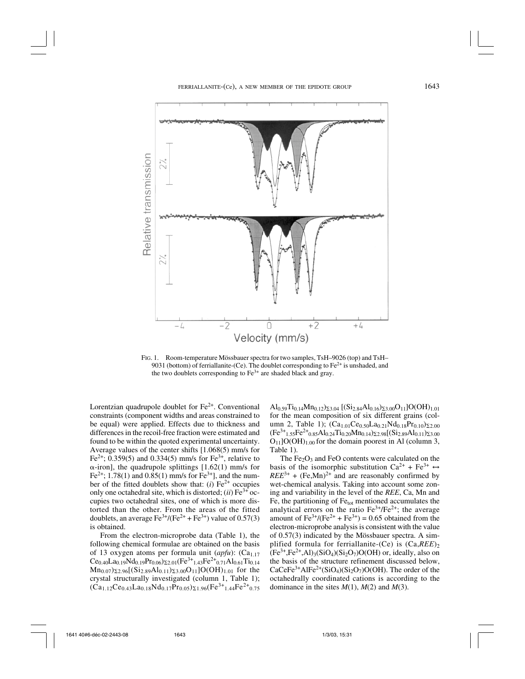

FIG. 1. Room-temperature Mössbauer spectra for two samples, TsH–9026 (top) and TsH– 9031 (bottom) of ferrial lanite-(Ce). The doublet corresponding to  $Fe<sup>2+</sup>$  is unshaded, and the two doublets corresponding to  $Fe<sup>3+</sup>$  are shaded black and gray.

Lorentzian quadrupole doublet for  $Fe<sup>2+</sup>$ . Conventional constraints (component widths and areas constrained to be equal) were applied. Effects due to thickness and differences in the recoil-free fraction were estimated and found to be within the quoted experimental uncertainty. Average values of the center shifts [1.068(5) mm/s for Fe<sup>2+</sup>; 0.359(5) and 0.334(5) mm/s for Fe<sup>3+</sup>, relative to  $\alpha$ -iron], the quadrupole splittings [1.62(1) mm/s for Fe<sup>2+</sup>; 1.78(1) and 0.85(1) mm/s for Fe<sup>3+</sup>], and the number of the fitted doublets show that:  $(i)$  Fe<sup>2+</sup> occupies only one octahedral site, which is distorted;  $(ii)$  Fe<sup>3+</sup> occupies two octahedral sites, one of which is more distorted than the other. From the areas of the fitted doublets, an average  $\text{Fe}^{3+}/(\text{Fe}^{2+} + \text{Fe}^{3+})$  value of 0.57(3) is obtained.

From the electron-microprobe data (Table 1), the following chemical formulae are obtained on the basis of 13 oxygen atoms per formula unit (apfu): (Ca<sub>1.17</sub>)  $Ce<sub>0.40</sub>La<sub>0.19</sub>Nd<sub>0.19</sub>Pr<sub>0.06</sub>)<sub>Σ2.01</sub>(Fe<sup>3+</sup><sub>1.43</sub>Fe<sup>2+</sup><sub>0.71</sub>Al<sub>0.61</sub>Ti<sub>0.14</sub>$  $Mn_{0.07}$ ) $_{2.96}$ [(Si<sub>2.89</sub>Al<sub>0.11</sub>) $_{23.00}$ O<sub>11</sub>]O(OH)<sub>1.01</sub> for the crystal structurally investigated (column 1, Table 1);  $(\text{Ca}_{1,12}\text{Ce}_{0,43}\text{La}_{0,18}\text{Nd}_{0,17}\text{Pr}_{0,05})_{\Sigma_{1,96}}(\text{Fe}^{3+}_{1,44}\text{Fe}^{2+}_{0,75})$ 

 $\text{Al}_{0.59}\text{Ti}_{0.14}\text{Mn}_{0.12}\text{)}_{\Sigma3.04}$  [(Si<sub>2.84</sub>Al<sub>0.16</sub>)<sub> $\Sigma3.00$ </sub>O<sub>11</sub>]O(OH)<sub>1.01</sub> for the mean composition of six different grains (column 2, Table 1);  $(Ca_{1,01}Ce_{0.50}La_{0.21}Nd_{0.18}Pr_{0.10}z_{2.00}$  $(Fe^{3+}_{1.55}Fe^{2+}_{0.85}Al_{0.24}Ti_{0.20}Mn_{0.14})\Sigma_{2.98}[(Si_{2.89}Al_{0.11})\Sigma_{3.00}$  $O_{11}$ ]O(OH)<sub>1.00</sub> for the domain poorest in Al (column 3, Table 1).

The  $Fe<sub>2</sub>O<sub>3</sub>$  and  $FeO$  contents were calculated on the basis of the isomorphic substitution Ca<sup>2+</sup> + Fe<sup>3+</sup>  $\leftrightarrow$  $REE^{3+}$  + (Fe,Mn)<sup>2+</sup> and are reasonably confirmed by wet-chemical analysis. Taking into account some zoning and variability in the level of the *REE*, Ca, Mn and Fe, the partitioning of Fe<sub>tot</sub> mentioned accumulates the analytical errors on the ratio  $Fe^{3+}/Fe^{2+}$ ; the average amount of  $Fe^{3+}/(Fe^{2+} + Fe^{3+}) = 0.65$  obtained from the electron-microprobe analysis is consistent with the value of 0.57(3) indicated by the Mössbauer spectra. A simplified formula for ferriallanite-(Ce) is  $(Ca,REE)$ <sub>2</sub>  $(Fe^{3+}, Fe^{2+}, Al)_3(SiO_4)(Si_2O_7)O(OH)$  or, ideally, also on the basis of the structure refinement discussed below,  $CaCeFe<sup>3+</sup>AlFe<sup>2+</sup>(SiO<sub>4</sub>)(Si<sub>2</sub>O<sub>7</sub>)O(OH)$ . The order of the octahedrally coordinated cations is according to the dominance in the sites  $M(1)$ ,  $M(2)$  and  $M(3)$ .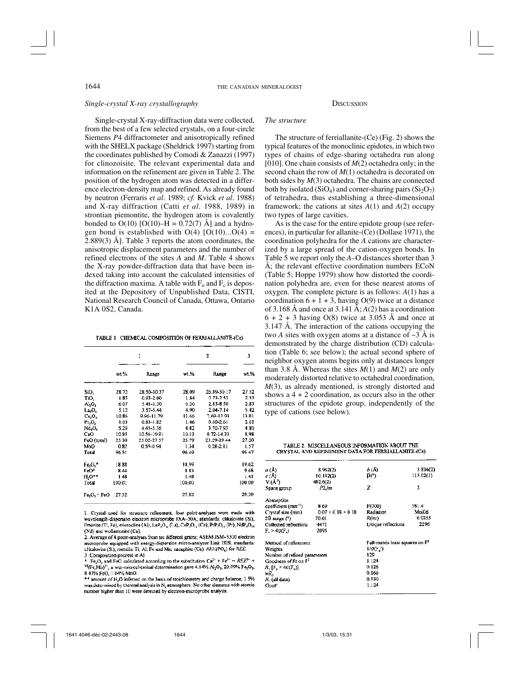# *Single-crystal X-ray crystallography*

Single-crystal X-ray-diffraction data were collected, from the best of a few selected crystals, on a four-circle Siemens *P*4 diffractometer and anisotropically refined with the SHELX package (Sheldrick 1997) starting from the coordinates published by Comodi & Zanazzi (1997) for clinozoisite. The relevant experimental data and information on the refinement are given in Table 2. The position of the hydrogen atom was detected in a difference electron-density map and refined. As already found by neutron (Ferraris *et al*. 1989; *cf.* Kvick *et al*. 1988) and X-ray diffraction (Catti *et al*. 1988, 1989) in strontian piemontite, the hydrogen atom is covalently bonded to  $O(10)$  [O(10)–H = 0.72(7) Å] and a hydrogen bond is established with  $O(4)$   $[O(10)...O(4)$  = 2.889(3) Å]. Table 3 reports the atom coordinates, the anisotropic displacement parameters and the number of refined electrons of the sites *A* and *M*. Table 4 shows the X-ray powder-diffraction data that have been indexed taking into account the calculated intensities of the diffraction maxima. A table with  $F_0$  and  $F_c$  is deposited at the Depository of Unpublished Data, CISTI, National Research Council of Canada, Ottawa, Ontario K1A 0S2, Canada.

TABLE 1. CHEMICAL COMPOSITION OF FERRIALLANITE-(Ce)

|             |        | ı             |        | 2             |        |  |
|-------------|--------|---------------|--------|---------------|--------|--|
|             | wt.%   | Range         | $wt$ % | Range         | wt.%   |  |
| SiO,        | 28.72  | 28.50-30.37   | 28.09  | 2689-3017     | 27.52  |  |
| TiO,        | 1.85   | $0.93 - 2.00$ | 1.84   | 073-2.53      | 2.53   |  |
| л,о,        | 6.07   | 5.41-6.30     | 6.26   | 2.83-8.50     | 2.83   |  |
| La,O,       | 5.12   | 3.57-5.44     | 4.90   | 2.04-7.14     | 5.42   |  |
| $c_{c,0}$   | 10.86  | 9.96-11.79    | 11.66  | 7.69-13.93    | 13.01  |  |
| Pr.O.       | 1.63   | $0.83 - 1.82$ | 1.46   | $0.60 - 2.61$ | 2.61   |  |
| Nd,O,       | 5.29   | 4.45-5.36     | 4.82   | 3.70-7.93     | 4.80   |  |
| CaO         | 10.85  | 10.56-10.91   | 10.33  | 8.72-14.33    | B.98   |  |
| FeO (total) | 25.30  | 25.02-27.57   | 25.79  | 23.29-29.44   | 27.20  |  |
| MnO         | 0.82   | 0.59-0.94     | 1.34   | $0.28 - 2.13$ | 1.57   |  |
| Total       | 96.51  |               | 96.49  |               | 96 47  |  |
| $Fe2O3$ .   | 18.88  |               | 18,99  |               | 19.62  |  |
| FeO*        | 8.44   |               | 8.83   |               | 9.68   |  |
| н,о••       | 1.48   |               | 1.48   |               | 1.43   |  |
| Total       | 100.01 |               | 100,00 |               | 100.00 |  |
| Fe O, + FeO | 27.32  |               | 27,82  |               | 29.30  |  |

1. Crystal used for structure refinement; four point-analyses were made with wavelength-dispersion electron microprobe JXA-50A; standards: chkalovite (Si), ilmenite (Ti, Fe), microcline (Al), LaP<sub>1</sub>O<sub>11</sub> (La), CeP<sub>1</sub>O<sub>11</sub> (Ce), PrP<sub>1</sub>O<sub>11</sub> (Pr), NdP<sub>5</sub>O<sub>11</sub> (Nd) and wollastonite (Ca).

2. Average of 8 point-analyses from six different grains; ASEM JSM-5300 electron microprobe equipped with energy-dispersion micro-analyzer Link ISIS; standards: chkalovite (Si), metallic Ti, Al, Fe and Mn, nacaphite (Ca), REE(PO<sub>4</sub>) for REE.

3. Composition poorest in Al.

Fe<sub>2</sub>O<sub>2</sub> and FeO calculated according to the substitution Ca<sup>2</sup><sup>+</sup> + Fe<sup>3+</sup> - REE<sup>3+</sup> +  $^{VI}$ (Fe,Mn)<sup>2</sup>'; a wet-microchemical determination gave 4.14%  $Al_2O_3$ , 20.09% Fe<sub>2</sub>O<sub>3</sub>, 8 43% FeO, 1.64% MnO.

\*\* amount of H<sub>2</sub>O inferred on the basis of stoichiometry and charge balance; 1.5% was determined by thermal analysis in  $N<sub>2</sub>$  atmosphere. No other elements with atomic number higher than 10 were detected by electron-microprobe analysis.

# **DISCUSSION**

# *The structure*

The structure of ferriallanite-(Ce) (Fig. 2) shows the typical features of the monoclinic epidotes, in which two types of chains of edge-sharing octahedra run along [010]. One chain consists of *M*(2) octahedra only; in the second chain the row of *M*(1) octahedra is decorated on both sides by *M*(3) octahedra. The chains are connected both by isolated (SiO<sub>4</sub>) and corner-sharing pairs (Si<sub>2</sub>O<sub>7</sub>) of tetrahedra, thus establishing a three-dimensional framework; the cations at sites *A*(1) and *A*(2) occupy two types of large cavities.

As is the case for the entire epidote group (see references), in particular for allanite-(Ce) (Dollase 1971), the coordination polyhedra for the *A* cations are characterized by a large spread of the cation-oxygen bonds. In Table 5 we report only the *A*–O distances shorter than 3 Å; the relevant effective coordination numbers ECoN (Table 5; Hoppe 1979) show how distorted the coordination polyhedra are, even for these nearest atoms of oxygen. The complete picture is as follows: *A*(1) has a coordination  $6 + 1 + 3$ , having O(9) twice at a distance of 3.168 Å and once at 3.141 Å;  $A(2)$  has a coordination  $6 + 2 + 3$  having O(8) twice at 3.053 Å and once at 3.147 Å. The interaction of the cations occupying the two *A* sites with oxygen atoms at a distance of  $\sim$ 3 Å is demonstrated by the charge distribution (CD) calculation (Table 6; see below); the actual second sphere of neighbor oxygen atoms begins only at distances longer than 3.8 Å. Whereas the sites  $M(1)$  and  $M(2)$  are only moderately distorted relative to octahedral coordination, *M*(3), as already mentioned, is strongly distorted and shows  $a 4 + 2$  coordination, as occurs also in the other structures of the epidote group, independently of the type of cations (see below).

TABLE 2. MISCELLANEOUS INFORMATION ABOUT THE CRYSTAL AND REFINEMENT DATA FOR FERRIALLANITE-(Ce)

| r (Å)                             | 8.962(2)                       | b(A)                              | 5.336(2)  |
|-----------------------------------|--------------------------------|-----------------------------------|-----------|
| c (A)                             | 10.182(2)                      | β(°)                              | 115.02(1) |
| V (Å )                            | 482.6(2)                       |                                   |           |
| Space group                       | $P2,$ Im                       | z                                 | 2         |
| Absorption                        |                                |                                   |           |
| coefficient (mm <sup>-1</sup> )   | 8.69                           | F(000)                            | 581.4     |
| Crystał size (mm)                 | $0.07 \times 0.18 \times 0.18$ | Radiation                         | MoKa      |
| 20 range (°)                      | 70.01                          | R(int)                            | 0.0355    |
| Collected reflections             | 4471                           | Unique reflections                | 2296      |
| $F_c > 4\sigma(F_c)$              | 2095                           |                                   |           |
| Method of refinement:             |                                | Full-matrix least squares on $F2$ |           |
| Weights                           |                                | $1/0(F, \hat{ } )$                |           |
| Number of refined parameters      |                                | 129                               |           |
| Goodness of fit on $\mathsf{F}^2$ |                                | 1.124                             |           |
| R, [F, > 4σ(F,)]                  |                                | 0.026                             |           |
| κR,                               |                                | 0.066                             |           |
| R, (ail data)                     |                                | 0.030                             |           |
| GooF                              |                                | 1.124                             |           |
|                                   |                                |                                   |           |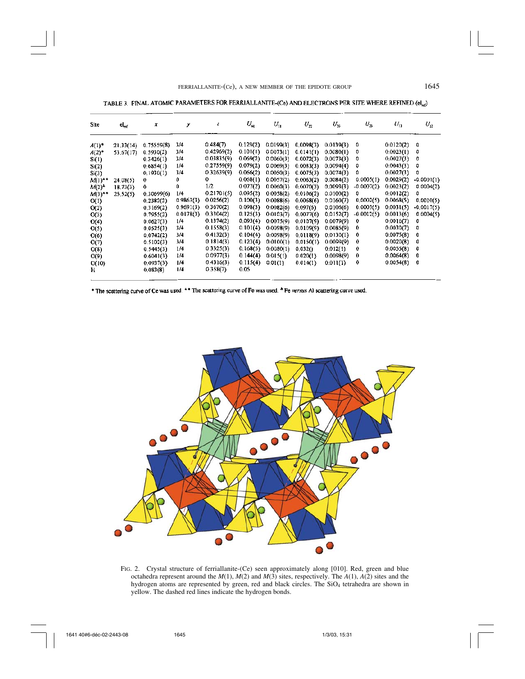TABLE 3. FINAL ATOMIC PARAMETERS FOR FERRIALLANTIE-(Ce) AND ELECTRONS PER SITE WHERE REFINED (el.,)

| Site                 | $el_{\rm ref}$ | x          | у         | z          | $U_{\rm eq}$ | $U_{\rm tr}$ | $U_n$     | $U_{\rm u}$ | $U_{2}$      | $U_{11}$  | $U_{12}$     |
|----------------------|----------------|------------|-----------|------------|--------------|--------------|-----------|-------------|--------------|-----------|--------------|
| $A(1)$ <sup>*</sup>  | 21,33(14)      | 0.75559(8) | 3/4       | 0.484(7)   | 0.129(2)     | 0.0199(3)    | 0,0098(3) | 0.0139(3)   | 0            | 0.0120(2) | 0            |
| $A(2)$ <sup>*</sup>  | 53.67(17)      | 0.5930(2)  | 3/4       | 0.42969(2) | 0.101(1)     | 0.0073(1)    | 0.0141(1) | 0.0080(1)   | 0            | 0.0023(1) | 0            |
| Si(1)                |                | 0.3426(1)  | 3/4       | 0.03835(9) | 0.069(2)     | 0.0060(3)    | 0.0072(3) | 0.0073(3)   | 0            | 0.0027(3) | 0            |
| Si(2)                |                | 0.6854(1)  | 1/4       | 0.27559(9) | 0.079(2)     | 0.0069(3)    | 0.0083(3) | 0.0094(4)   | 0            | 0.0043(3) | 0            |
| Si(3)                |                | 0.1930(1)  | 3/4       | 0.32639(9) | 0.066(2)     | 0.0050(3)    | 0.0075(3) | 0.0074(3)   | 0            | 0.0027(3) | 0            |
| $M(1)$ <sup>+*</sup> | 24.08(5)       | 0          | 0         | 0.         | 0.068(1)     | 0,0057(2)    | 0.0063(2) | 0.0084(2)   | 0.0005(1)    | 0.0029(2) | $-0.0001(1)$ |
| $M(2)^n$             | 18.73(3)       | 0          | 0         | 1/2        | 0.077(2)     | 0.0060(3)    | 0.0070(3) | 0.0093(3)   | $-0.0007(2)$ | 0.0023(2) | 0.0004(2)    |
| $M(3)$ **            | 25,52(5)       | 0.30699(6) | 1/4       | 0.21701(5) | 0.095(2)     | 0.0058(2)    | 0.0106(2) | 0.0100(2)   | 0            | 0.0012(2) | 0            |
| O(1)                 |                | 0.2382(2)  | 0.9863(3) | 0.0256(2)  | 0.100(3)     | 0.0088(6)    | 0.0068(6) | 0.0160(7)   | 0,0002(5)    | 0.0068(5) | 0.0010(5)    |
| O(2)                 |                | 0.3169(2)  | 0.9691(3) | 0.3670(2)  | 0.098(3)     | 0.0082(6)    | 0.097(6)  | 0.0106(6)   | 0.0003(5)    | 0.0031(5) | $-0.0017(5)$ |
| O(3)                 |                | 0.7955(2)  | 0.0178(3) | 0.3304(2)  | 0.125(3)     | 0.0103(7)    | 0.0077(6) | 0.0152(7)   | $-0.0012(5)$ | 0.0013(6) | 0.0004(5)    |
| O(4)                 |                | 0.0627(3)  | 1/4       | 0.1374(2)  | 0.093(4)     | 0.0075(9)    | 0.0107(9) | 0.0079(9)   | 0            | 0.0016(7) | 0            |
| O(5)                 |                | 0.0525(3)  | 3/4       | 0.1558(3)  | 0.101(4)     | 0.0098(9)    | 0.0109(9) | 0.0085(9)   | 0            | 0.0030(7) | o            |
| O(6)                 |                | 0,0742(2)  | 3/4       | 0.4132(3)  | 0.104(4)     | 0.0098(9)    | 0.0118(9) | 0.0130(1)   | 0            | 0.0075(8) | 0            |
| O(7)                 |                | 0.5102(3)  | 3/4       | 0.1814(3)  | 0.123(4)     | 0.0100(1)    | 0.0150(1) | 0.0099(9)   | $\bf{0}$     | 0.0020(8) | 0            |
| O(8)                 |                | 0.5445(3)  | 1/4       | 0.3325(3)  | 0,168(5)     | 0.0080(1)    | 0,032()   | 0.012(1)    | 0            | 0.0055(8) | 0            |
| O(9)                 |                | 0.6041(3)  | 1/4       | 0.0977(3)  | 0.144(4)     | 0.015(1)     | 0.020(1)  | 0.0098(9)   | 0            | 0,0064(8) | 0            |
| O(10)                |                | 0.0937(3)  | 1/4       | 0.4316(3)  | 0.115(4)     | 0.01(1)      | 0.014(1)  | 0.011(1)    | $\bf{0}$     | 0.0054(8) | 0            |
| н                    |                | 0.083(8)   | 1/4       | 0.358(7)   | 0.05         |              |           |             |              |           |              |

\* The scattering curve of Ce was used. \*\* The scattering curve of Fe was used. \* Fe versus Al scattering curve used.



FIG. 2. Crystal structure of ferriallanite-(Ce) seen approximately along [010]. Red, green and blue octahedra represent around the *M*(1), *M*(2) and *M*(3) sites, respectively. The *A*(1), *A*(2) sites and the hydrogen atoms are represented by green, red and black circles. The SiO<sub>4</sub> tetrahedra are shown in yellow. The dashed red lines indicate the hydrogen bonds.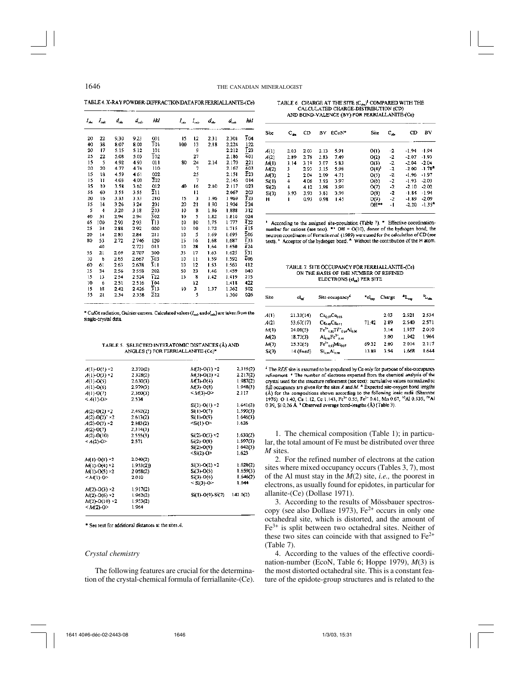TABLE 4. X-RAY POWDER-DIFFRACTIONDATA FOR FERRIALLANITE-(Ce)

| $I_{sh}$ | $I_{\rm ext}$ | $d_{\rm obs}$ | $d_{\rm esc}$ | hkl              | łμ. | $I_{\text{max}}$ | d.   | $d_{\rm out}$ | hH               |
|----------|---------------|---------------|---------------|------------------|-----|------------------|------|---------------|------------------|
| 20       | 22            | 9.30          | 9.23          | 001              | 15  | 12               | 2.31 | 2.301         | 304              |
| 40       | 38            | 8.07          | 8,00          | T٥۱              | 100 | 13               | 2.18 | 2.224         | 122              |
| 20       | 17            | 5.15          | 5.12          | 101              |     | 9                |      | 2.212         | T23              |
| 25       | 22            | 5.08          | 5.03          | $\overline{1}02$ |     | 27               |      | 2.186         | 401              |
| 15       | 5             | 4.92          | 4.93          | 011              | 80  | 24               | 2.14 | 2.170         | 221              |
| 20       | 20            | 4.77          | 4.74          | 110              |     | 7                |      | 2.167         | 403              |
| 15       | 18            | 4.59          | 4.61          | 002              |     | 25               |      | 2.151         | 223              |
| 15       | Ħ             | 4.03          | 4.00          | 202              |     | 7                |      | 2.145         | 014              |
| 35       | 10            | 3.58          | 3.62          | 012              | 40  | 16               | 2.10 | 2.117         | 023              |
| 55       | 60            | 3.55          | 3.55          | $\overline{2}11$ |     | 11               |      | 2.067         | 203              |
| 20       | 16            | 3.33          | 3.33          | 210              | 15  | 3                | 1.96 | 1969          | 323              |
| 35       | 14            | 3.26          | 3.24          | 201              | 20  | 21               | 1.90 | 1.904         | 224              |
| 5        | 4             | 3.20          | 3.18          | 203              | 10  | 8                | 1.86 | 1.888         | 312              |
| 40       | 31            | 2.94          | 2.94          | 302              | 10  | 5                | 1.82 | 1.810         | 024              |
| 65       | 100           | 2.93          | 2.93          | T 13             | ţû  | 10               | 1.75 | 1777          | 422              |
| 2\$      | 34            | 2.88          | 292           | 020              | 10  | īΟ               | 1.72 | 1.715         | $\overline{4}15$ |
| 20       | 14            | 2.85          | 2.84          | 211              | 10  | 5                | 1.69 | 1.695         | 206              |
| 80       | 53            | 2.72          | 2746          | 120              | 15  | 16               | 1.68 | 1.687         | ī33              |
|          | 40            |               | 2.721         | 013              | 10  | 28               | 1.64 | 1.650         | 424              |
| 55       | 21            | 2.69          | 2.707         | 300              | 35  | 17               | 1.63 | 1.625         | 331              |
| 10       | 6             | 2.65          | 2.667         | 303              | 10  | 11               | 1.59 | 1.592         | 406              |
| 60       | 61            | 2.63          | 2.638         | 311              | 10  | 12               | 1.53 | 1.563         | 412              |
| 35       | 34            | 2.56          | 2558          | 202              | 50  | 23               | 1.46 | 1.459         | 040              |
| 15       | 13            | 2.54          | 2.524         | 122              | 15  | 8                | 1.42 | 1.419         | 215              |
| 10       | 6             | 2.51          | 2.516         | Ī04              |     | 12               |      | 1.418         | 422              |
| IS       | 18            | 2.42          | 2.426         | $\overline{3}13$ | 10  | 3                | 1.37 | 1.362         | 502              |
| 55       | 21            | 2.34          | 2.358         | 222              |     | \$               |      | 1.360         | 026              |

\* CuKa radiation, Guinier camera. Calculated values ( $I_{\text{out}}$  and  $d_{\text{out}}$ ) are taken from the single-crystal data.

TABLE 5. SELECTED INTERATOMIC DISTANCES (Å) AND ANGLES (°) FOR FERRIALLANITE-(Ce)\*

| $A(1) - O(1) \times 2$  | 2.370(2) | $M(3)$ -O(1) ×2       | 2,315(2) |
|-------------------------|----------|-----------------------|----------|
| $A(1)-O(3) \times 2$    | 2328(2)  | $M(3)-O(2) \times 2$  | 2.217(2) |
| $A(1)$ -O(5)            | 2.630(3) | $M(3)$ -O(4)          | 1.987(2) |
| $A(1)$ -O(6)            | 2.979(3) | $M(3)$ -O(8)          | 1.948(3) |
| A(1)-O(7)               | 2,360(3) | $< M(3) - O$          | 2.117    |
| $<$ A(1)-O>             | 2.534    |                       |          |
|                         |          | Si(1)-O(1) ×2         | 1.641(2) |
| $A(2)-O(2) \times 2$    | 2,492(2) | Si(1)-O(7)            | 1.590(3) |
| $A(2)-O(2)^{2}\times 2$ | 2.613(2) | Si(1)-O(9)            | 1.646(3) |
| $A(2)$ -O(3) ×2         | 2.883(2) | $\leq$ i(1)-0>        | 1.626    |
| $A(2)-O(7)$             | 2,314(3) |                       |          |
| $A(2)-O(10)$            | 2.555(3) | $Si(2)-O(3) \times 2$ | 1,630(2) |
| $< A(2)-O>$             | 2.571    | $Si(2)-O(8)$          | 1.597(3) |
|                         |          | Si(2)-O(9)            | 1642(3)  |
|                         |          | $<$ Si(2)-O>          | 1.623    |
| $M(1)-O(1) \times 2$    | 2.040(2) |                       |          |
| $M(1)$ -O(4) ×2         | 1.933(2) | $Si(3)-O(2) \times 2$ | 1.628(2) |
| $M(1)$ O(5) $\times$ 2  | 2 058(2) | $Si(3)$ -O(5)         | 1.659(3) |
| <m(1)-0></m(1)-0>       | 2.010    | Si(3)-O(6)            | 1.646(2) |
|                         |          | < Si(3)-O>            | 1.644    |
| $M(2)-O(3) \times 2$    | 1.917(2) |                       |          |
| $M(2)$ -O(6) ×2         | 1.962(2) | $Si(1)$ -O(9)-Si(2)   | 141.0(2) |
| $M(2)-O(10) \times 2$   | 1.953(2) |                       |          |
| $< M(2)-O$              | 1.964    |                       |          |

\* See text for additional distances at the sites A.

### *Crystal chemistry*

The following features are crucial for the determination of the crystal-chemical formula of ferriallanite-(Ce).

TABLE 6. CHARGE AT THE SITE (Con<sup>1</sup> COMPARED WITH THE CALCULATED CHARGE-DISTRIBUTION (CD) AND BOND-VALENCE (BV) FOR FERRIALLANITE-(Ce)

| Site  | $c_{\infty}$ | CD   | B٧   | ECoN* | Site       | $c_{\ast}$ | CD      | BV              |
|-------|--------------|------|------|-------|------------|------------|---------|-----------------|
| A(1)  | 2.03         | 2.03 | 2.13 | 5.91  | 0(1)       | -2         | $-1.94$ | $-1.94$         |
| A(2)  | 2.89         | 2.78 | 2.83 | 7.49  | O(2)       | -2         | $-2.07$ | $-1.93$         |
| MD    | 3.14         | 3.19 | 3.07 | 583   | O(3)       | -2         | $-2.04$ | $-2.04$         |
| M(2)  | 3            | 2.93 | 3.15 | 5.98  | $O(4)^{3}$ | -2         | -2.00   | $-1.78^{\circ}$ |
| M(3)  | 2            | 2.04 | 2.09 | 4.71  | O(5)       | -2         | $-1.96$ | $-1.97$         |
| Si(1) | 4            | 4.06 | 3.93 | 3.97  | O(6)       | -2         | $-1.93$ | $-2.03$         |
| Si(2) | 4            | 4.12 | 3.98 | 3.99  | O(7)       | -2         | $-2.10$ | $-2.02$         |
| Si(3) | 3.93         | 3.93 | 3.81 | 3.99  | O(8)       | -2         | $-1.84$ | $-1.94$         |
| н     |              | 0.93 | 0.98 | 1.45  | O(9)       | $-2$       | $-1.89$ | $-2.09$         |
|       |              |      |      |       | $OH***$    | - 1        | $-2.20$ | $-1.354$        |

<sup>1</sup> According to the assigned site-population (Table 7). <sup>\*</sup> Effective coordinationnumber for cations (see text). " $\cdot$  OH = O(10), donor of the hydrogen bond; the neutron coordinates of Ferraris et al. (1989) were used for the calculation of CD (see text). <sup>5</sup> Acceptor of the hydrogen bond. <sup>4</sup> Without the contribution of the H atom.

TABLE 7. SITE OCCUPANCY FOR FERRIALLANTTE-(Ce) ON THE BASIS OF THE NUMBER OF REFINED ELECTRONS (el ) PER SITE

| Site  | eL,        | Site occupancy <sup>5</sup>                     | *el_  | Charge | $\mathbf{L}_{\mathrm{em}}$ | Ł.    |
|-------|------------|-------------------------------------------------|-------|--------|----------------------------|-------|
| A(1)  | 21.33(14)  | $Ca0$ $Ce0.03$                                  |       | 2.03   | 2.521                      | 2.534 |
| A(2)  | 53.67(17)  | Ce <sub>0.99</sub> Ca <sub>0.11</sub>           | 71.42 | 289    | 2.540                      | 2.571 |
| M(1)  | 24.08(5)   | $Fe^{3+}{}_{0.00}Ti^{4+}{}_{0.10}Al_{0.06}$     |       | 3.14   | 1.957                      | 2.010 |
| M(2)  | 18.73(3)   | Al <sub>and</sub> Fe <sup>3</sup> u.u           |       | 3.00   | 1.942                      | 1.964 |
| M(3)  | 25.32(5)   | $\mathrm{Fe^{2+}}_{0.01}$ M $\mathrm{n_{0.01}}$ | 69.32 | 2.00   | 2014                       | 2.117 |
| Si(3) | 14 (fixed) | $\mathrm{Si_{c.m}}\mathrm{Al_{u.m.}}$           | 13.89 | 3.94   | 1.668                      | 1.644 |

 $t$  The REE site is assumed to be populated by Ce only for purpose of site-occupancy refinement. \* The number of electrons expected from the chemical analysis of the crystal used for the structure refinement (see text): cumulative values normalized to full occupancy are given for the sites  $A$  and  $M$ .  $^*$  Expected site-oxygen bond lengths (Å) for the compositions shown according to the following ionic radii (Shannon 1976): O 1.40, Ca 1.12, Ce 1.143, Fe<sup>2+</sup> 0.55, Fe<sup>2+</sup> 0.61, Mn 0.67, <sup>VI</sup>AI 0.535, <sup>IV</sup>AI 0 39, Si 0.26 Å. <sup>5</sup> Observed average bond-lengths (Å) (Table 3).

1. The chemical composition (Table 1); in particular, the total amount of Fe must be distributed over three *M* sites.

2. For the refined number of electrons at the cation sites where mixed occupancy occurs (Tables 3, 7), most of the Al must stay in the *M*(2) site, *i.e.,* the poorest in electrons, as usually found for epidotes, in particular for allanite-(Ce) (Dollase 1971).

3. According to the results of Mössbauer spectroscopy (see also Dollase 1973),  $Fe<sup>2+</sup>$  occurs in only one octahedral site, which is distorted, and the amount of Fe3+ is split between two octahedral sites. Neither of these two sites can coincide with that assigned to  $Fe<sup>2+</sup>$ (Table 7).

4. According to the values of the effective coordination-number (EcoN, Table 6; Hoppe 1979), *M*(3) is the most distorted octahedral site. This is a constant feature of the epidote-group structures and is related to the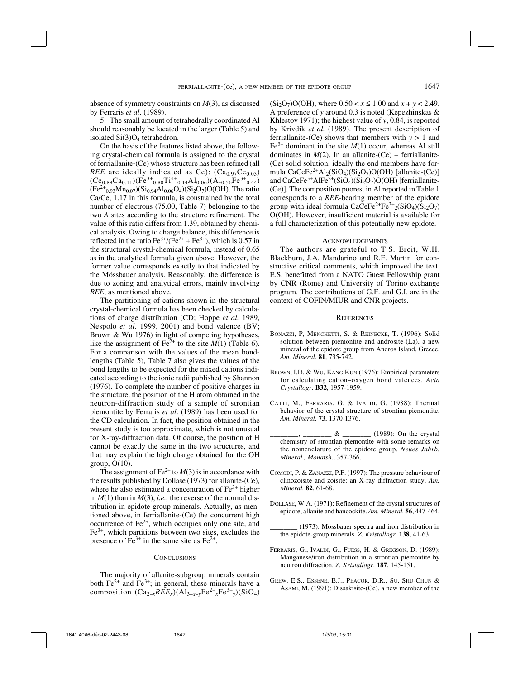absence of symmetry constraints on *M*(3), as discussed by Ferraris *et al*. (1989).

5. The small amount of tetrahedrally coordinated Al should reasonably be located in the larger (Table 5) and isolated Si(3)O4 tetrahedron.

On the basis of the features listed above, the following crystal-chemical formula is assigned to the crystal of ferriallanite-(Ce) whose structure has been refined (all *REE* are ideally indicated as Ce):  $(Ca_{0.97}Ce_{0.03})$ (Ce<sub>0.89</sub>Ca<sub>0.11</sub>)(Fe<sup>3+</sup><sub>0.80</sub>Ti<sup>4+</sup><sub>0.14</sub>Al<sub>0.06</sub>)(Al<sub>0.56</sub>Fe<sup>3+</sup><sub>0.44</sub>)  $(Fe^{2+}_{0.93}Mn_{0.07})(Si_{0.94}Al_{0.06}O_4)(Si_2O_7)O(OH)$ . The ratio Ca/Ce, 1.17 in this formula, is constrained by the total number of electrons (75.00, Table 7) belonging to the two *A* sites according to the structure refinement. The value of this ratio differs from 1.39, obtained by chemical analysis. Owing to charge balance, this difference is reflected in the ratio  $Fe^{3+}/(Fe^{2+} + Fe^{3+})$ , which is 0.57 in the structural crystal-chemical formula, instead of 0.65 as in the analytical formula given above. However, the former value corresponds exactly to that indicated by the Mössbauer analysis. Reasonably, the difference is due to zoning and analytical errors, mainly involving *REE*, as mentioned above.

The partitioning of cations shown in the structural crystal-chemical formula has been checked by calculations of charge distribution (CD; Hoppe *et al.* 1989, Nespolo *et al.* 1999, 2001) and bond valence (BV; Brown & Wu 1976) in light of competing hypotheses, like the assignment of Fe<sup>2+</sup> to the site  $M(1)$  (Table 6). For a comparison with the values of the mean bondlengths (Table 5), Table 7 also gives the values of the bond lengths to be expected for the mixed cations indicated according to the ionic radii published by Shannon (1976). To complete the number of positive charges in the structure, the position of the H atom obtained in the neutron-diffraction study of a sample of strontian piemontite by Ferraris *et al*. (1989) has been used for the CD calculation. In fact, the position obtained in the present study is too approximate, which is not unusual for X-ray-diffraction data. Of course, the position of H cannot be exactly the same in the two structures, and that may explain the high charge obtained for the OH group,  $O(10)$ .

The assignment of  $Fe^{2+}$  to  $M(3)$  is in accordance with the results published by Dollase (1973) for allanite-(Ce), where he also estimated a concentration of  $Fe<sup>3+</sup>$  higher in  $M(1)$  than in  $M(3)$ , *i.e.*, the reverse of the normal distribution in epidote-group minerals. Actually, as mentioned above, in ferriallanite-(Ce) the concurrent high occurrence of  $Fe<sup>2+</sup>$ , which occupies only one site, and  $Fe<sup>3+</sup>$ , which partitions between two sites, excludes the presence of  $\bar{F}e^{3+}$  in the same site as  $Fe^{2+}$ .

### **CONCLUSIONS**

The majority of allanite-subgroup minerals contain both  $Fe^{2+}$  and  $Fe^{3+}$ ; in general, these minerals have a composition  $(Ca_{2-x}REE_x)(Al_{3-x-y}Fe^{2+}xFe^{3+}y)(SiO_4)$   $(Si<sub>2</sub>O<sub>7</sub>)O(OH)$ , where  $0.50 < x \le 1.00$  and  $x + y < 2.49$ . A preference of *y* around 0.3 is noted (Kepezhinskas & Khlestov 1971); the highest value of *y*, 0.84, is reported by Krivdik *et al.* (1989). The present description of ferriallanite-(Ce) shows that members with  $y > 1$  and  $Fe<sup>3+</sup>$  dominant in the site  $M(1)$  occur, whereas Al still dominates in  $M(2)$ . In an allanite-(Ce) – ferriallanite-(Ce) solid solution, ideally the end members have formula  $CaCeFe<sup>2+</sup>A1<sub>2</sub>(SiO<sub>4</sub>)(Si<sub>2</sub>O<sub>7</sub>)O(OH)$  [allanite-(Ce)] and  $CaCeFe<sup>3+</sup>AlFe<sup>2+</sup>(SiO<sub>4</sub>)(Si<sub>2</sub>O<sub>7</sub>)O(OH)$  [ferriallanite-(Ce)]. The composition poorest in Al reported in Table 1 corresponds to a *REE*-bearing member of the epidote group with ideal formula  $CaCeFe^{2+}Fe^{3+2}(SiO_4)(Si_2O_7)$ O(OH). However, insufficient material is available for a full characterization of this potentially new epidote.

#### **ACKNOWLEDGEMENTS**

The authors are grateful to T.S. Ercit, W.H. Blackburn, J.A. Mandarino and R.F. Martin for constructive critical comments, which improved the text. E.S. benefitted from a NATO Guest Fellowship grant by CNR (Rome) and University of Torino exchange program. The contributions of G.F. and G.I. are in the context of COFIN/MIUR and CNR projects.

## **REFERENCES**

- BONAZZI, P, MENCHETTI, S. & REINECKE, T. (1996): Solid solution between piemontite and androsite-(La), a new mineral of the epidote group from Andros Island, Greece. *Am. Mineral.* **81**, 735-742.
- BROWN, I.D. & WU, KANG KUN (1976): Empirical parameters for calculating cation–oxygen bond valences. *Acta Crystallogr.* **B32**, 1957-1959.
- CATTI, M., FERRARIS, G. & IVALDI, G. (1988): Thermal behavior of the crystal structure of strontian piemontite. *Am. Mineral.* **73**, 1370-1376.
- $\&$   $\&$   $\qquad \qquad$  (1989): On the crystal chemistry of strontian piemontite with some remarks on the nomenclature of the epidote group. *Neues Jahrb. Mineral., Monatsh*., 357-366.
- COMODI, P. & ZANAZZI, P.F. (1997): The pressure behaviour of clinozoisite and zoisite: an X-ray diffraction study. *Am. Mineral.* **82**, 61-68.
- DOLLASE, W.A. (1971): Refinement of the crystal structures of epidote, allanite and hancockite. *Am. Mineral.* **56**, 447-464.
	- (1973): Mössbauer spectra and iron distribution in the epidote-group minerals. *Z. Kristallogr.* **138**, 41-63.
- FERRARIS, G., IVALDI, G., FUESS, H. & GREGSON, D. (1989): Manganese/iron distribution in a strontian piemontite by neutron diffraction. *Z. Kristallogr*. **187**, 145-151.
- GREW. E.S., ESSENE, E.J., PEACOR, D.R., SU, SHU-CHUN & ASAMI, M. (1991): Dissakisite-(Ce), a new member of the